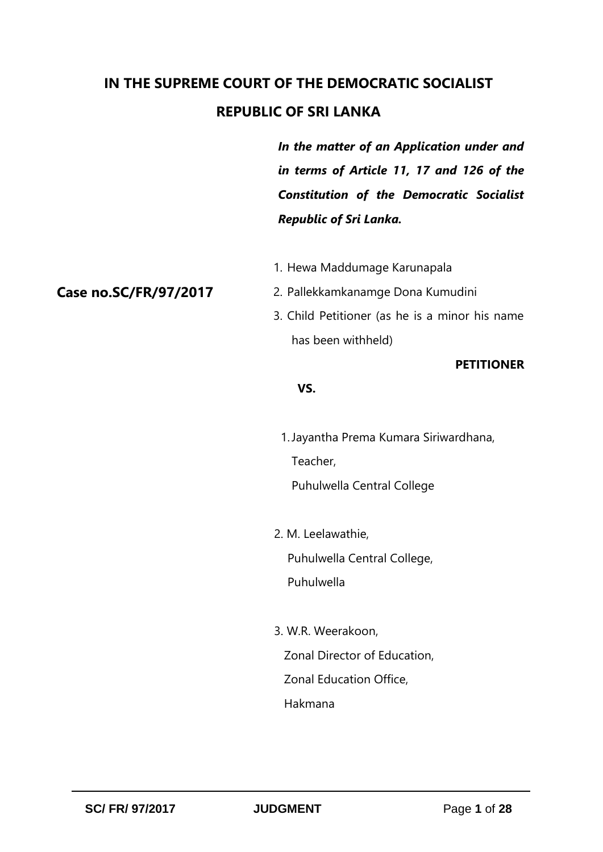# **IN THE SUPREME COURT OF THE DEMOCRATIC SOCIALIST REPUBLIC OF SRI LANKA**

*In the matter of an Application under and in terms of Article 11, 17 and 126 of the Constitution of the Democratic Socialist Republic of Sri Lanka.*

1. Hewa Maddumage Karunapala

# **Case no.SC/FR/97/2017**

- 2. Pallekkamkanamge Dona Kumudini
- 3. Child Petitioner (as he is a minor his name has been withheld)

#### **PETITIONER**

#### *VS.* The state of  $\mathbf{V}$

1.Jayantha Prema Kumara Siriwardhana, Teacher,

Puhulwella Central College

2. M. Leelawathie,

Puhulwella Central College,

Puhulwella

 3. W.R. Weerakoon, Zonal Director of Education, Zonal Education Office, Hakmana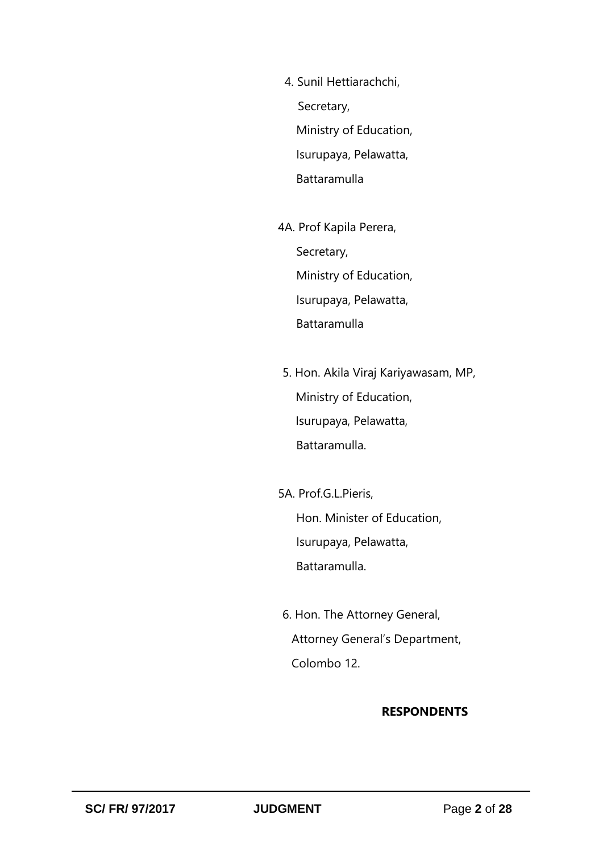4. Sunil Hettiarachchi, Secretary, Ministry of Education, Isurupaya, Pelawatta, Battaramulla

4A. Prof Kapila Perera, Secretary, Ministry of Education, Isurupaya, Pelawatta, Battaramulla

5. Hon. Akila Viraj Kariyawasam, MP, Ministry of Education, Isurupaya, Pelawatta, Battaramulla.

5A. Prof.G.L.Pieris, Hon. Minister of Education, Isurupaya, Pelawatta, Battaramulla.

6. Hon. The Attorney General, Attorney General's Department, Colombo 12.

#### **RESPONDENTS**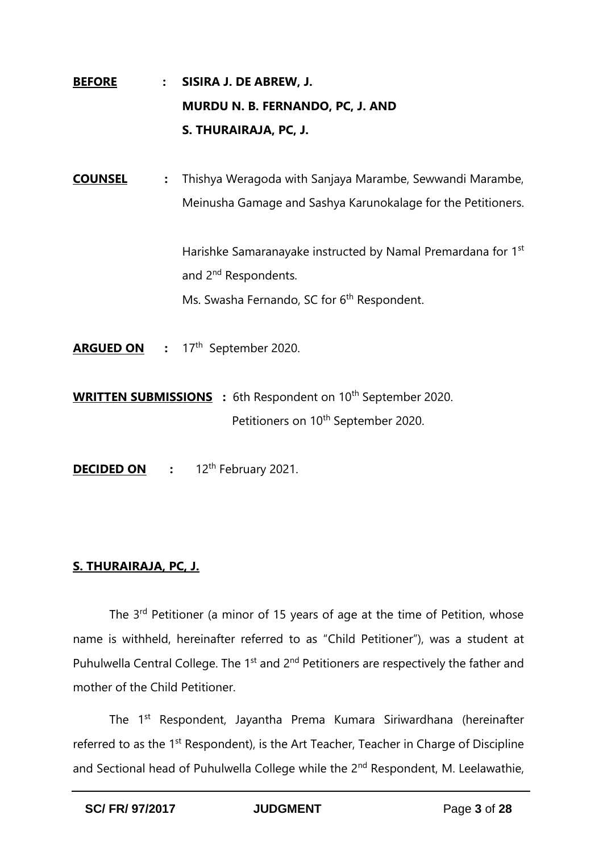- **BEFORE : SISIRA J. DE ABREW, J. MURDU N. B. FERNANDO, PC, J. AND S. THURAIRAJA, PC, J.**
- **COUNSEL :** Thishya Weragoda with Sanjaya Marambe, Sewwandi Marambe, Meinusha Gamage and Sashya Karunokalage for the Petitioners.

Harishke Samaranayake instructed by Namal Premardana for 1<sup>st</sup> and 2<sup>nd</sup> Respondents. Ms. Swasha Fernando, SC for 6<sup>th</sup> Respondent.

- ARGUED ON : 17<sup>th</sup> September 2020.
- **WRITTEN SUBMISSIONS** : 6th Respondent on 10<sup>th</sup> September 2020. Petitioners on 10<sup>th</sup> September 2020.
- **DECIDED ON** : 12<sup>th</sup> February 2021.

# **S. THURAIRAJA, PC, J.**

The 3<sup>rd</sup> Petitioner (a minor of 15 years of age at the time of Petition, whose name is withheld, hereinafter referred to as "Child Petitioner"), was a student at Puhulwella Central College. The  $1<sup>st</sup>$  and  $2<sup>nd</sup>$  Petitioners are respectively the father and mother of the Child Petitioner.

The 1st Respondent, Jayantha Prema Kumara Siriwardhana (hereinafter referred to as the 1<sup>st</sup> Respondent), is the Art Teacher, Teacher in Charge of Discipline and Sectional head of Puhulwella College while the 2<sup>nd</sup> Respondent, M. Leelawathie,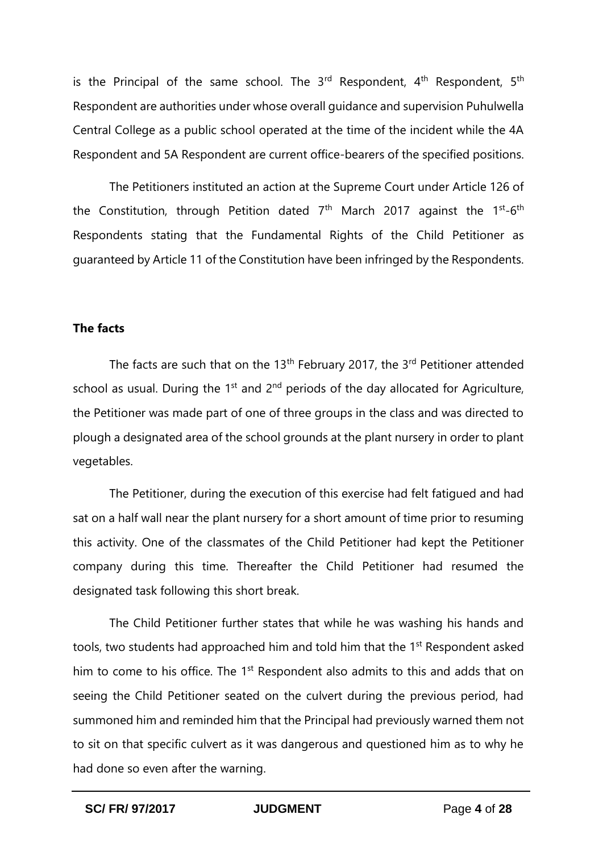is the Principal of the same school. The  $3<sup>rd</sup>$  Respondent,  $4<sup>th</sup>$  Respondent,  $5<sup>th</sup>$ Respondent are authorities under whose overall guidance and supervision Puhulwella Central College as a public school operated at the time of the incident while the 4A Respondent and 5A Respondent are current office-bearers of the specified positions.

The Petitioners instituted an action at the Supreme Court under Article 126 of the Constitution, through Petition dated 7<sup>th</sup> March 2017 against the 1<sup>st</sup>-6<sup>th</sup> Respondents stating that the Fundamental Rights of the Child Petitioner as guaranteed by Article 11 of the Constitution have been infringed by the Respondents.

# **The facts**

The facts are such that on the 13<sup>th</sup> February 2017, the 3<sup>rd</sup> Petitioner attended school as usual. During the  $1<sup>st</sup>$  and  $2<sup>nd</sup>$  periods of the day allocated for Agriculture, the Petitioner was made part of one of three groups in the class and was directed to plough a designated area of the school grounds at the plant nursery in order to plant vegetables.

The Petitioner, during the execution of this exercise had felt fatigued and had sat on a half wall near the plant nursery for a short amount of time prior to resuming this activity. One of the classmates of the Child Petitioner had kept the Petitioner company during this time. Thereafter the Child Petitioner had resumed the designated task following this short break.

The Child Petitioner further states that while he was washing his hands and tools, two students had approached him and told him that the 1<sup>st</sup> Respondent asked him to come to his office. The 1<sup>st</sup> Respondent also admits to this and adds that on seeing the Child Petitioner seated on the culvert during the previous period, had summoned him and reminded him that the Principal had previously warned them not to sit on that specific culvert as it was dangerous and questioned him as to why he had done so even after the warning.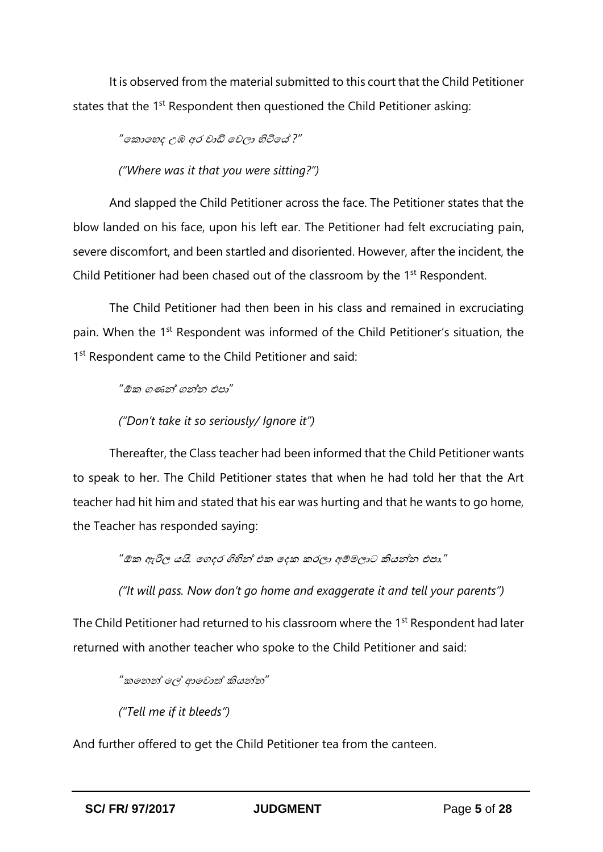It is observed from the material submitted to this court that the Child Petitioner states that the 1<sup>st</sup> Respondent then questioned the Child Petitioner asking:

*"*ක ොකෙද උඹ අර වොඩි කවලො හිටිකේ *?"*

*("Where was it that you were sitting?")*

And slapped the Child Petitioner across the face. The Petitioner states that the blow landed on his face, upon his left ear. The Petitioner had felt excruciating pain, severe discomfort, and been startled and disoriented. However, after the incident, the Child Petitioner had been chased out of the classroom by the 1<sup>st</sup> Respondent.

The Child Petitioner had then been in his class and remained in excruciating pain. When the 1<sup>st</sup> Respondent was informed of the Child Petitioner's situation, the 1<sup>st</sup> Respondent came to the Child Petitioner and said:

*"*ඕ ගණන් ගන්න එපො*"*

## *("Don't take it so seriously/ Ignore it")*

Thereafter, the Class teacher had been informed that the Child Petitioner wants to speak to her. The Child Petitioner states that when he had told her that the Art teacher had hit him and stated that his ear was hurting and that he wants to go home, the Teacher has responded saying:

*"*ඕ ඇරිල යයි*.* කගදර ගිහින් එ කද රලො අම්මලොට කියන්න එපො*."*

*("It will pass. Now don't go home and exaggerate it and tell your parents")*

The Child Petitioner had returned to his classroom where the 1<sup>st</sup> Respondent had later returned with another teacher who spoke to the Child Petitioner and said:

*"* කනන් කේ ආකවොත් කියන්න*"*

*("Tell me if it bleeds")*

And further offered to get the Child Petitioner tea from the canteen.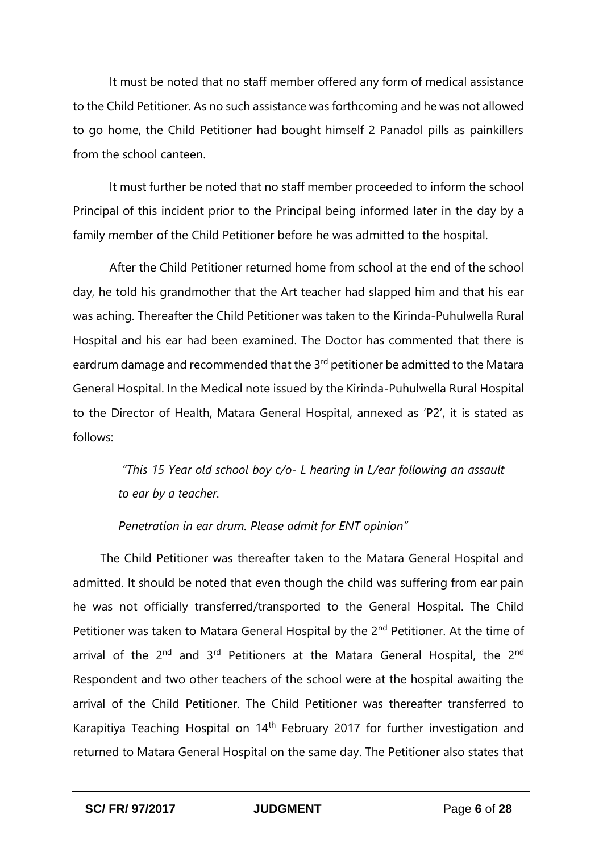It must be noted that no staff member offered any form of medical assistance to the Child Petitioner. As no such assistance was forthcoming and he was not allowed to go home, the Child Petitioner had bought himself 2 Panadol pills as painkillers from the school canteen.

It must further be noted that no staff member proceeded to inform the school Principal of this incident prior to the Principal being informed later in the day by a family member of the Child Petitioner before he was admitted to the hospital.

After the Child Petitioner returned home from school at the end of the school day, he told his grandmother that the Art teacher had slapped him and that his ear was aching. Thereafter the Child Petitioner was taken to the Kirinda-Puhulwella Rural Hospital and his ear had been examined. The Doctor has commented that there is eardrum damage and recommended that the 3<sup>rd</sup> petitioner be admitted to the Matara General Hospital. In the Medical note issued by the Kirinda-Puhulwella Rural Hospital to the Director of Health, Matara General Hospital, annexed as 'P2', it is stated as follows:

> *"This 15 Year old school boy c/o- L hearing in L/ear following an assault to ear by a teacher.*

*Penetration in ear drum. Please admit for ENT opinion"*

The Child Petitioner was thereafter taken to the Matara General Hospital and admitted. It should be noted that even though the child was suffering from ear pain he was not officially transferred/transported to the General Hospital. The Child Petitioner was taken to Matara General Hospital by the 2<sup>nd</sup> Petitioner. At the time of arrival of the 2<sup>nd</sup> and 3<sup>rd</sup> Petitioners at the Matara General Hospital, the 2<sup>nd</sup> Respondent and two other teachers of the school were at the hospital awaiting the arrival of the Child Petitioner. The Child Petitioner was thereafter transferred to Karapitiya Teaching Hospital on  $14<sup>th</sup>$  February 2017 for further investigation and returned to Matara General Hospital on the same day. The Petitioner also states that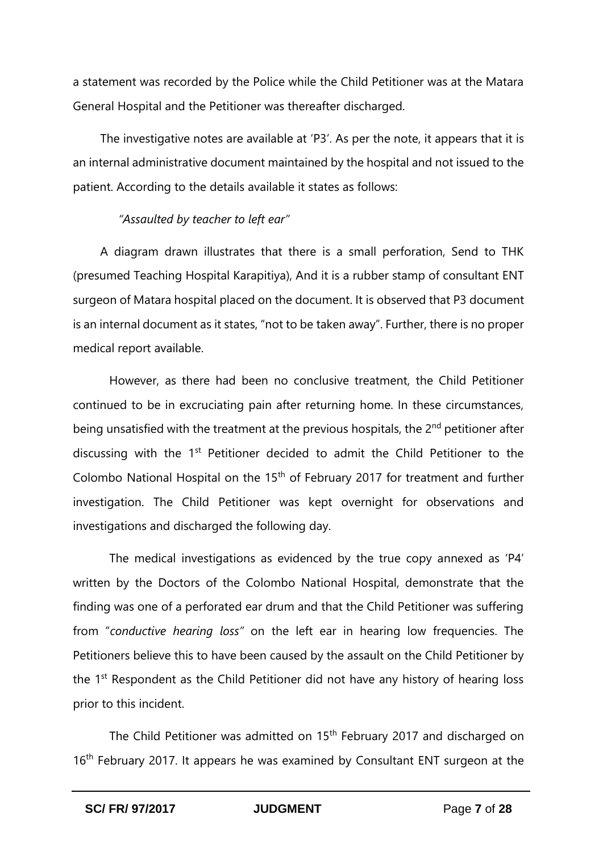a statement was recorded by the Police while the Child Petitioner was at the Matara General Hospital and the Petitioner was thereafter discharged.

The investigative notes are available at 'P3'. As per the note, it appears that it is an internal administrative document maintained by the hospital and not issued to the patient. According to the details available it states as follows:

## *"Assaulted by teacher to left ear"*

A diagram drawn illustrates that there is a small perforation, Send to THK (presumed Teaching Hospital Karapitiya), And it is a rubber stamp of consultant ENT surgeon of Matara hospital placed on the document. It is observed that P3 document is an internal document as it states, "not to be taken away". Further, there is no proper medical report available.

However, as there had been no conclusive treatment, the Child Petitioner continued to be in excruciating pain after returning home. In these circumstances, being unsatisfied with the treatment at the previous hospitals, the 2<sup>nd</sup> petitioner after discussing with the 1<sup>st</sup> Petitioner decided to admit the Child Petitioner to the Colombo National Hospital on the 15th of February 2017 for treatment and further investigation. The Child Petitioner was kept overnight for observations and investigations and discharged the following day.

The medical investigations as evidenced by the true copy annexed as 'P4' written by the Doctors of the Colombo National Hospital, demonstrate that the finding was one of a perforated ear drum and that the Child Petitioner was suffering from "*conductive hearing loss"* on the left ear in hearing low frequencies. The Petitioners believe this to have been caused by the assault on the Child Petitioner by the  $1<sup>st</sup>$  Respondent as the Child Petitioner did not have any history of hearing loss prior to this incident.

The Child Petitioner was admitted on 15<sup>th</sup> February 2017 and discharged on 16<sup>th</sup> February 2017. It appears he was examined by Consultant ENT surgeon at the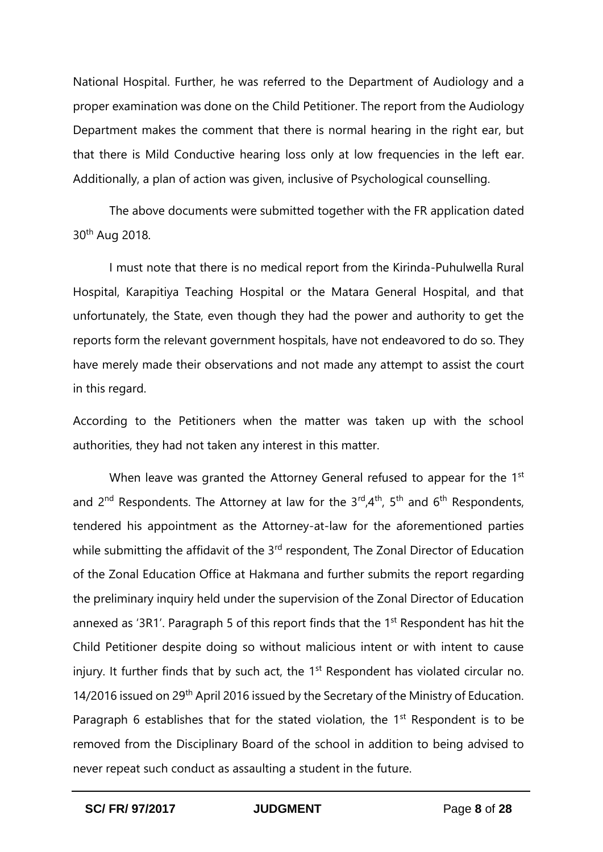National Hospital. Further, he was referred to the Department of Audiology and a proper examination was done on the Child Petitioner. The report from the Audiology Department makes the comment that there is normal hearing in the right ear, but that there is Mild Conductive hearing loss only at low frequencies in the left ear. Additionally, a plan of action was given, inclusive of Psychological counselling.

The above documents were submitted together with the FR application dated 30th Aug 2018.

I must note that there is no medical report from the Kirinda-Puhulwella Rural Hospital, Karapitiya Teaching Hospital or the Matara General Hospital, and that unfortunately, the State, even though they had the power and authority to get the reports form the relevant government hospitals, have not endeavored to do so. They have merely made their observations and not made any attempt to assist the court in this regard.

According to the Petitioners when the matter was taken up with the school authorities, they had not taken any interest in this matter.

When leave was granted the Attorney General refused to appear for the 1<sup>st</sup> and  $2^{nd}$  Respondents. The Attorney at law for the  $3^{rd}$ ,  $4^{th}$ ,  $5^{th}$  and  $6^{th}$  Respondents, tendered his appointment as the Attorney-at-law for the aforementioned parties while submitting the affidavit of the 3<sup>rd</sup> respondent, The Zonal Director of Education of the Zonal Education Office at Hakmana and further submits the report regarding the preliminary inquiry held under the supervision of the Zonal Director of Education annexed as '3R1'. Paragraph 5 of this report finds that the 1<sup>st</sup> Respondent has hit the Child Petitioner despite doing so without malicious intent or with intent to cause injury. It further finds that by such act, the 1<sup>st</sup> Respondent has violated circular no. 14/2016 issued on 29<sup>th</sup> April 2016 issued by the Secretary of the Ministry of Education. Paragraph 6 establishes that for the stated violation, the  $1<sup>st</sup>$  Respondent is to be removed from the Disciplinary Board of the school in addition to being advised to never repeat such conduct as assaulting a student in the future.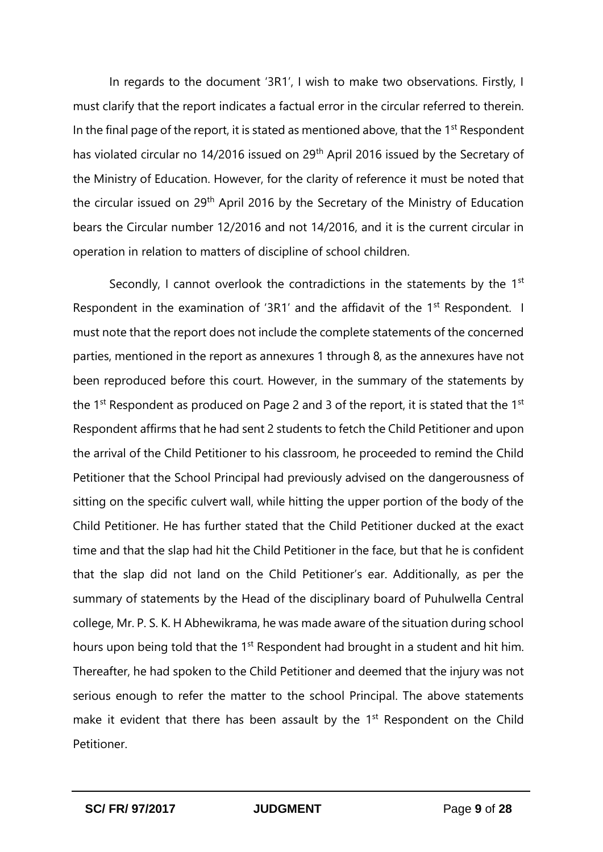In regards to the document '3R1', I wish to make two observations. Firstly, I must clarify that the report indicates a factual error in the circular referred to therein. In the final page of the report, it is stated as mentioned above, that the  $1<sup>st</sup>$  Respondent has violated circular no 14/2016 issued on 29<sup>th</sup> April 2016 issued by the Secretary of the Ministry of Education. However, for the clarity of reference it must be noted that the circular issued on 29<sup>th</sup> April 2016 by the Secretary of the Ministry of Education bears the Circular number 12/2016 and not 14/2016, and it is the current circular in operation in relation to matters of discipline of school children.

Secondly, I cannot overlook the contradictions in the statements by the 1<sup>st</sup> Respondent in the examination of '3R1' and the affidavit of the 1<sup>st</sup> Respondent. I must note that the report does not include the complete statements of the concerned parties, mentioned in the report as annexures 1 through 8, as the annexures have not been reproduced before this court. However, in the summary of the statements by the  $1<sup>st</sup>$  Respondent as produced on Page 2 and 3 of the report, it is stated that the  $1<sup>st</sup>$ Respondent affirms that he had sent 2 students to fetch the Child Petitioner and upon the arrival of the Child Petitioner to his classroom, he proceeded to remind the Child Petitioner that the School Principal had previously advised on the dangerousness of sitting on the specific culvert wall, while hitting the upper portion of the body of the Child Petitioner. He has further stated that the Child Petitioner ducked at the exact time and that the slap had hit the Child Petitioner in the face, but that he is confident that the slap did not land on the Child Petitioner's ear. Additionally, as per the summary of statements by the Head of the disciplinary board of Puhulwella Central college, Mr. P. S. K. H Abhewikrama, he was made aware of the situation during school hours upon being told that the 1<sup>st</sup> Respondent had brought in a student and hit him. Thereafter, he had spoken to the Child Petitioner and deemed that the injury was not serious enough to refer the matter to the school Principal. The above statements make it evident that there has been assault by the 1<sup>st</sup> Respondent on the Child Petitioner.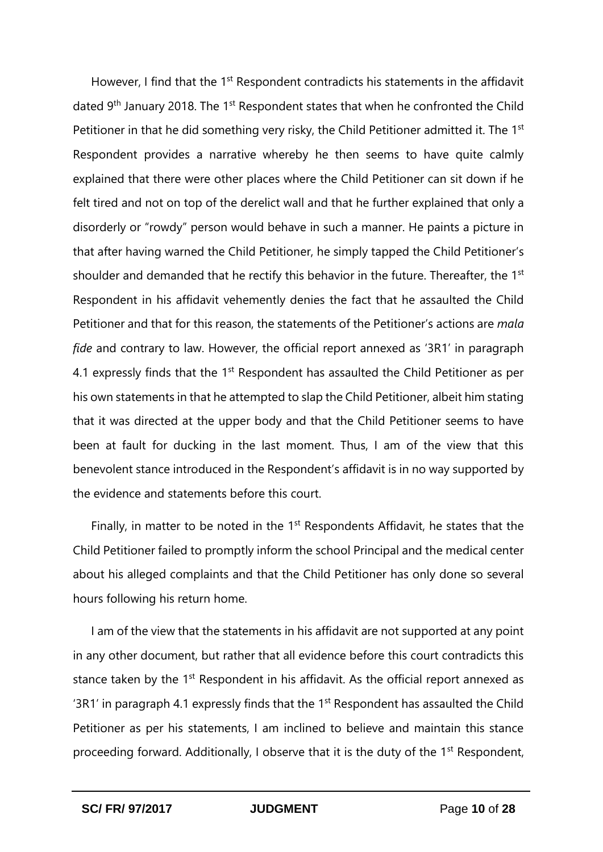However, I find that the 1<sup>st</sup> Respondent contradicts his statements in the affidavit dated  $9<sup>th</sup>$  January 2018. The 1<sup>st</sup> Respondent states that when he confronted the Child Petitioner in that he did something very risky, the Child Petitioner admitted it. The 1<sup>st</sup> Respondent provides a narrative whereby he then seems to have quite calmly explained that there were other places where the Child Petitioner can sit down if he felt tired and not on top of the derelict wall and that he further explained that only a disorderly or "rowdy" person would behave in such a manner. He paints a picture in that after having warned the Child Petitioner, he simply tapped the Child Petitioner's shoulder and demanded that he rectify this behavior in the future. Thereafter, the 1<sup>st</sup> Respondent in his affidavit vehemently denies the fact that he assaulted the Child Petitioner and that for this reason, the statements of the Petitioner's actions are *mala fide* and contrary to law. However, the official report annexed as '3R1' in paragraph 4.1 expressly finds that the  $1<sup>st</sup>$  Respondent has assaulted the Child Petitioner as per his own statements in that he attempted to slap the Child Petitioner, albeit him stating that it was directed at the upper body and that the Child Petitioner seems to have been at fault for ducking in the last moment. Thus, I am of the view that this benevolent stance introduced in the Respondent's affidavit is in no way supported by the evidence and statements before this court.

Finally, in matter to be noted in the  $1<sup>st</sup>$  Respondents Affidavit, he states that the Child Petitioner failed to promptly inform the school Principal and the medical center about his alleged complaints and that the Child Petitioner has only done so several hours following his return home.

I am of the view that the statements in his affidavit are not supported at any point in any other document, but rather that all evidence before this court contradicts this stance taken by the 1<sup>st</sup> Respondent in his affidavit. As the official report annexed as '3R1' in paragraph 4.1 expressly finds that the  $1<sup>st</sup>$  Respondent has assaulted the Child Petitioner as per his statements, I am inclined to believe and maintain this stance proceeding forward. Additionally, I observe that it is the duty of the 1<sup>st</sup> Respondent,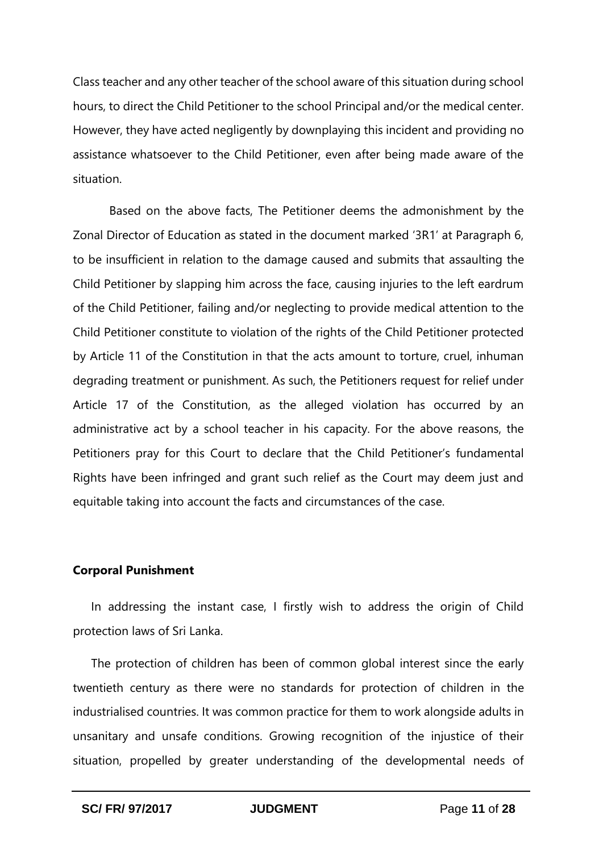Class teacher and any other teacher of the school aware of this situation during school hours, to direct the Child Petitioner to the school Principal and/or the medical center. However, they have acted negligently by downplaying this incident and providing no assistance whatsoever to the Child Petitioner, even after being made aware of the situation.

Based on the above facts, The Petitioner deems the admonishment by the Zonal Director of Education as stated in the document marked '3R1' at Paragraph 6, to be insufficient in relation to the damage caused and submits that assaulting the Child Petitioner by slapping him across the face, causing injuries to the left eardrum of the Child Petitioner, failing and/or neglecting to provide medical attention to the Child Petitioner constitute to violation of the rights of the Child Petitioner protected by Article 11 of the Constitution in that the acts amount to torture, cruel, inhuman degrading treatment or punishment. As such, the Petitioners request for relief under Article 17 of the Constitution, as the alleged violation has occurred by an administrative act by a school teacher in his capacity. For the above reasons, the Petitioners pray for this Court to declare that the Child Petitioner's fundamental Rights have been infringed and grant such relief as the Court may deem just and equitable taking into account the facts and circumstances of the case.

#### **Corporal Punishment**

In addressing the instant case, I firstly wish to address the origin of Child protection laws of Sri Lanka.

The protection of children has been of common global interest since the early twentieth century as there were no standards for protection of children in the industrialised countries. It was common practice for them to work alongside adults in unsanitary and unsafe conditions. Growing recognition of the injustice of their situation, propelled by greater understanding of the developmental needs of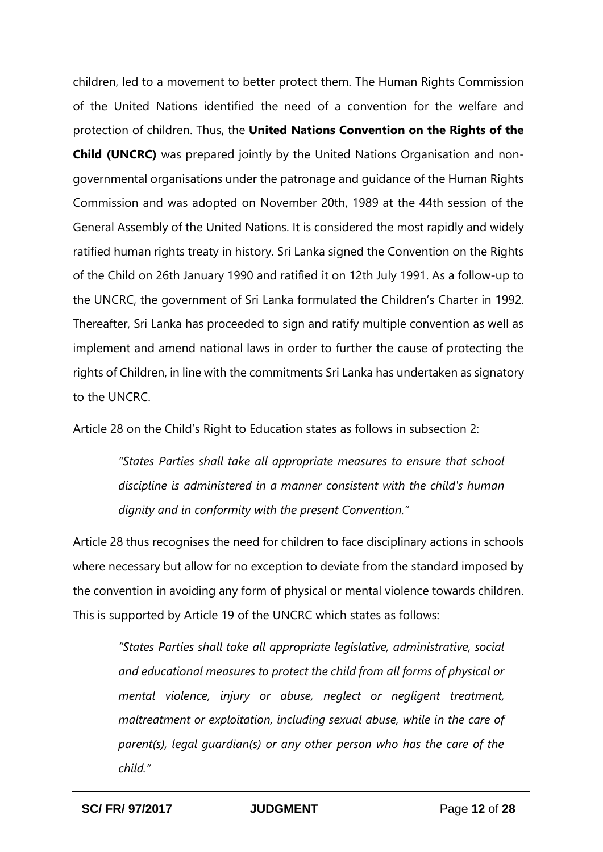children, led to a movement to better protect them. The Human Rights Commission of the United Nations identified the need of a convention for the welfare and protection of children. Thus, the **United Nations Convention on the Rights of the Child (UNCRC)** was prepared jointly by the United Nations Organisation and nongovernmental organisations under the patronage and guidance of the Human Rights Commission and was adopted on November 20th, 1989 at the 44th session of the General Assembly of the United Nations. It is considered the most rapidly and widely ratified human rights treaty in history. Sri Lanka signed the Convention on the Rights of the Child on 26th January 1990 and ratified it on 12th July 1991. As a follow-up to the UNCRC, the government of Sri Lanka formulated the Children's Charter in 1992. Thereafter, Sri Lanka has proceeded to sign and ratify multiple convention as well as implement and amend national laws in order to further the cause of protecting the rights of Children, in line with the commitments Sri Lanka has undertaken as signatory to the UNCRC.

Article 28 on the Child's Right to Education states as follows in subsection 2:

*"States Parties shall take all appropriate measures to ensure that school discipline is administered in a manner consistent with the child's human dignity and in conformity with the present Convention."*

Article 28 thus recognises the need for children to face disciplinary actions in schools where necessary but allow for no exception to deviate from the standard imposed by the convention in avoiding any form of physical or mental violence towards children. This is supported by Article 19 of the UNCRC which states as follows:

*"States Parties shall take all appropriate legislative, administrative, social and educational measures to protect the child from all forms of physical or mental violence, injury or abuse, neglect or negligent treatment, maltreatment or exploitation, including sexual abuse, while in the care of parent(s), legal guardian(s) or any other person who has the care of the child."*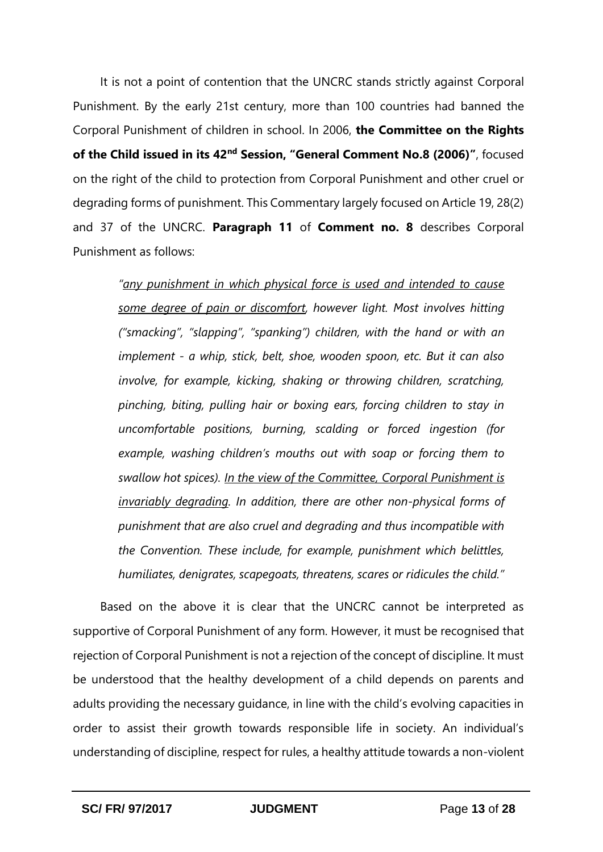It is not a point of contention that the UNCRC stands strictly against Corporal Punishment. By the early 21st century, more than 100 countries had banned the Corporal Punishment of children in school. In 2006, **the Committee on the Rights of the Child issued in its 42nd Session, "General Comment No.8 (2006)"**, focused on the right of the child to protection from Corporal Punishment and other cruel or degrading forms of punishment. This Commentary largely focused on Article 19, 28(2) and 37 of the UNCRC. **Paragraph 11** of **Comment no. 8** describes Corporal Punishment as follows:

*"any punishment in which physical force is used and intended to cause some degree of pain or discomfort, however light. Most involves hitting ("smacking", "slapping", "spanking") children, with the hand or with an implement - a whip, stick, belt, shoe, wooden spoon, etc. But it can also involve, for example, kicking, shaking or throwing children, scratching, pinching, biting, pulling hair or boxing ears, forcing children to stay in uncomfortable positions, burning, scalding or forced ingestion (for example, washing children's mouths out with soap or forcing them to swallow hot spices). In the view of the Committee, Corporal Punishment is invariably degrading. In addition, there are other non-physical forms of punishment that are also cruel and degrading and thus incompatible with the Convention. These include, for example, punishment which belittles, humiliates, denigrates, scapegoats, threatens, scares or ridicules the child."*

Based on the above it is clear that the UNCRC cannot be interpreted as supportive of Corporal Punishment of any form. However, it must be recognised that rejection of Corporal Punishment is not a rejection of the concept of discipline. It must be understood that the healthy development of a child depends on parents and adults providing the necessary guidance, in line with the child's evolving capacities in order to assist their growth towards responsible life in society. An individual's understanding of discipline, respect for rules, a healthy attitude towards a non-violent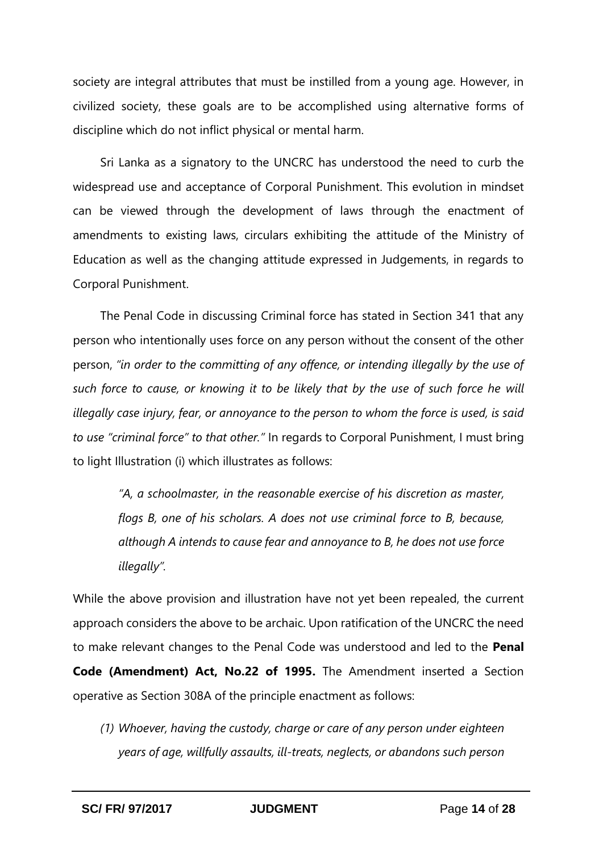society are integral attributes that must be instilled from a young age. However, in civilized society, these goals are to be accomplished using alternative forms of discipline which do not inflict physical or mental harm.

Sri Lanka as a signatory to the UNCRC has understood the need to curb the widespread use and acceptance of Corporal Punishment. This evolution in mindset can be viewed through the development of laws through the enactment of amendments to existing laws, circulars exhibiting the attitude of the Ministry of Education as well as the changing attitude expressed in Judgements, in regards to Corporal Punishment.

The Penal Code in discussing Criminal force has stated in Section 341 that any person who intentionally uses force on any person without the consent of the other person, *"in order to the committing of any offence, or intending illegally by the use of such force to cause, or knowing it to be likely that by the use of such force he will illegally case injury, fear, or annoyance to the person to whom the force is used, is said to use "criminal force" to that other."* In regards to Corporal Punishment, I must bring to light Illustration (i) which illustrates as follows:

*"A, a schoolmaster, in the reasonable exercise of his discretion as master, flogs B, one of his scholars. A does not use criminal force to B, because, although A intends to cause fear and annoyance to B, he does not use force illegally".*

While the above provision and illustration have not yet been repealed, the current approach considers the above to be archaic. Upon ratification of the UNCRC the need to make relevant changes to the Penal Code was understood and led to the **Penal Code (Amendment) Act, No.22 of 1995.** The Amendment inserted a Section operative as Section 308A of the principle enactment as follows:

*(1) Whoever, having the custody, charge or care of any person under eighteen years of age, willfully assaults, ill-treats, neglects, or abandons such person*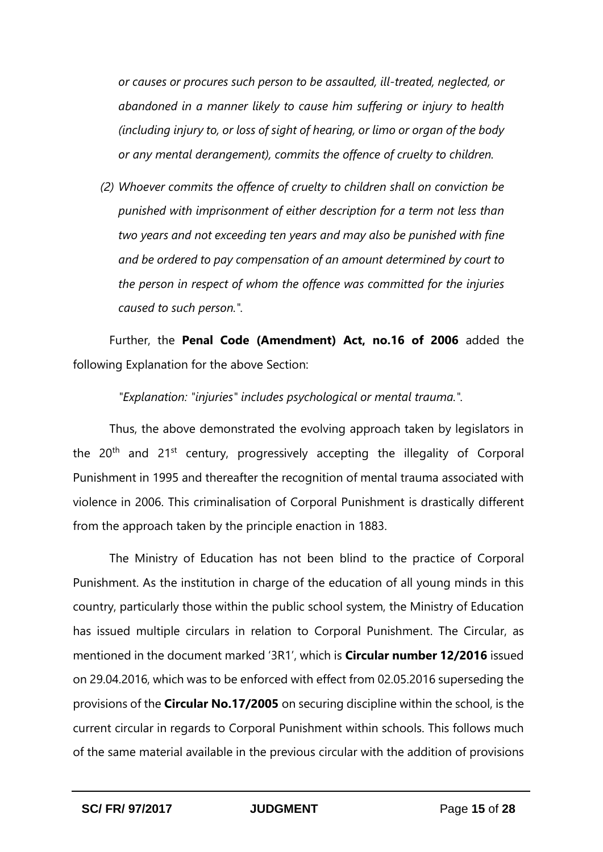*or causes or procures such person to be assaulted, ill-treated, neglected, or abandoned in a manner likely to cause him suffering or injury to health (including injury to, or loss of sight of hearing, or limo or organ of the body or any mental derangement), commits the offence of cruelty to children.*

*(2) Whoever commits the offence of cruelty to children shall on conviction be punished with imprisonment of either description for a term not less than two years and not exceeding ten years and may also be punished with fine and be ordered to pay compensation of an amount determined by court to the person in respect of whom the offence was committed for the injuries caused to such person.".*

Further, the **Penal Code (Amendment) Act, no.16 of 2006** added the following Explanation for the above Section:

*"Explanation: "injuries" includes psychological or mental trauma.".*

Thus, the above demonstrated the evolving approach taken by legislators in the 20<sup>th</sup> and 21<sup>st</sup> century, progressively accepting the illegality of Corporal Punishment in 1995 and thereafter the recognition of mental trauma associated with violence in 2006. This criminalisation of Corporal Punishment is drastically different from the approach taken by the principle enaction in 1883.

The Ministry of Education has not been blind to the practice of Corporal Punishment. As the institution in charge of the education of all young minds in this country, particularly those within the public school system, the Ministry of Education has issued multiple circulars in relation to Corporal Punishment. The Circular, as mentioned in the document marked '3R1', which is **Circular number 12/2016** issued on 29.04.2016, which was to be enforced with effect from 02.05.2016 superseding the provisions of the **Circular No.17/2005** on securing discipline within the school, is the current circular in regards to Corporal Punishment within schools. This follows much of the same material available in the previous circular with the addition of provisions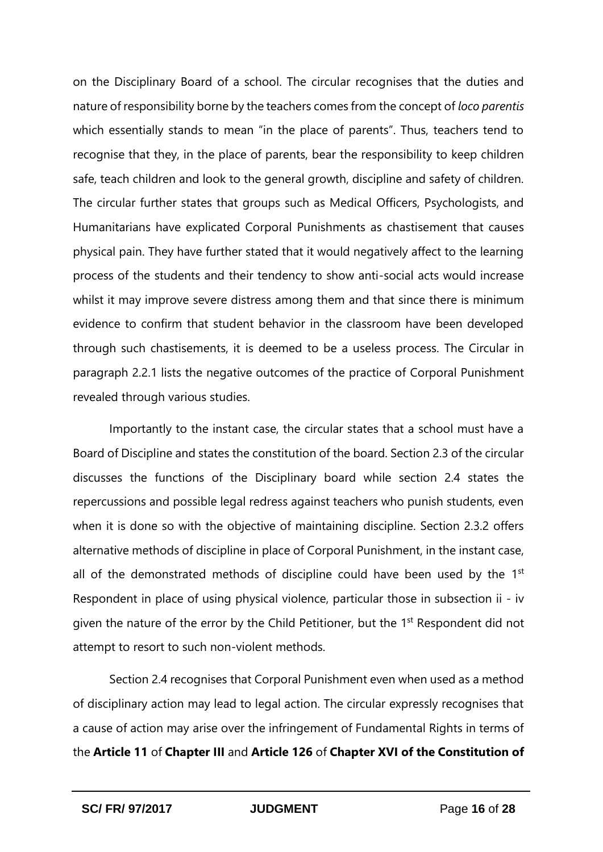on the Disciplinary Board of a school. The circular recognises that the duties and nature of responsibility borne by the teachers comes from the concept of *loco parentis*  which essentially stands to mean "in the place of parents". Thus, teachers tend to recognise that they, in the place of parents, bear the responsibility to keep children safe, teach children and look to the general growth, discipline and safety of children. The circular further states that groups such as Medical Officers, Psychologists, and Humanitarians have explicated Corporal Punishments as chastisement that causes physical pain. They have further stated that it would negatively affect to the learning process of the students and their tendency to show anti-social acts would increase whilst it may improve severe distress among them and that since there is minimum evidence to confirm that student behavior in the classroom have been developed through such chastisements, it is deemed to be a useless process. The Circular in paragraph 2.2.1 lists the negative outcomes of the practice of Corporal Punishment revealed through various studies.

Importantly to the instant case, the circular states that a school must have a Board of Discipline and states the constitution of the board. Section 2.3 of the circular discusses the functions of the Disciplinary board while section 2.4 states the repercussions and possible legal redress against teachers who punish students, even when it is done so with the objective of maintaining discipline. Section 2.3.2 offers alternative methods of discipline in place of Corporal Punishment, in the instant case, all of the demonstrated methods of discipline could have been used by the  $1<sup>st</sup>$ Respondent in place of using physical violence, particular those in subsection ii - iv given the nature of the error by the Child Petitioner, but the 1<sup>st</sup> Respondent did not attempt to resort to such non-violent methods.

Section 2.4 recognises that Corporal Punishment even when used as a method of disciplinary action may lead to legal action. The circular expressly recognises that a cause of action may arise over the infringement of Fundamental Rights in terms of the **Article 11** of **Chapter III** and **Article 126** of **Chapter XVI of the Constitution of**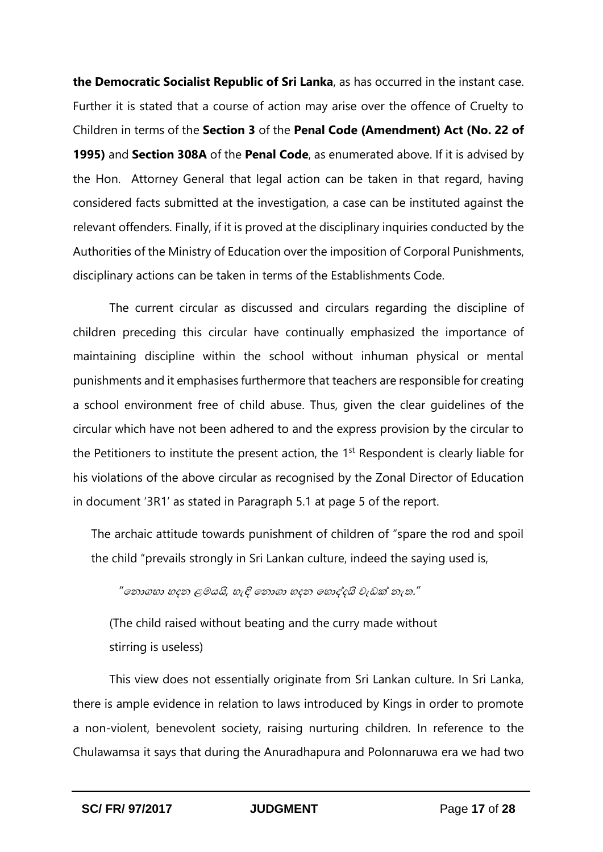**the Democratic Socialist Republic of Sri Lanka**, as has occurred in the instant case. Further it is stated that a course of action may arise over the offence of Cruelty to Children in terms of the **Section 3** of the **Penal Code (Amendment) Act (No. 22 of 1995)** and **Section 308A** of the **Penal Code**, as enumerated above. If it is advised by the Hon. Attorney General that legal action can be taken in that regard, having considered facts submitted at the investigation, a case can be instituted against the relevant offenders. Finally, if it is proved at the disciplinary inquiries conducted by the Authorities of the Ministry of Education over the imposition of Corporal Punishments, disciplinary actions can be taken in terms of the Establishments Code.

The current circular as discussed and circulars regarding the discipline of children preceding this circular have continually emphasized the importance of maintaining discipline within the school without inhuman physical or mental punishments and it emphasises furthermore that teachers are responsible for creating a school environment free of child abuse. Thus, given the clear guidelines of the circular which have not been adhered to and the express provision by the circular to the Petitioners to institute the present action, the 1<sup>st</sup> Respondent is clearly liable for his violations of the above circular as recognised by the Zonal Director of Education in document '3R1' as stated in Paragraph 5.1 at page 5 of the report.

The archaic attitude towards punishment of children of "spare the rod and spoil the child "prevails strongly in Sri Lankan culture, indeed the saying used is,

# *"*කනොගෙො ෙදන ළමයයි*,* හැඳි කනොගො ෙදන කෙොද්දයි වැඩක් නැත.*"*

(The child raised without beating and the curry made without stirring is useless)

This view does not essentially originate from Sri Lankan culture. In Sri Lanka, there is ample evidence in relation to laws introduced by Kings in order to promote a non-violent, benevolent society, raising nurturing children. In reference to the Chulawamsa it says that during the Anuradhapura and Polonnaruwa era we had two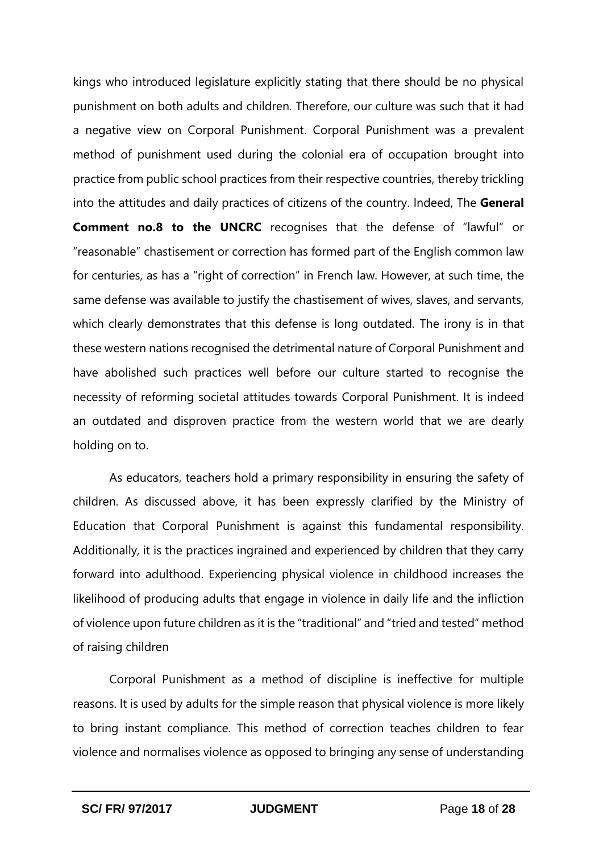kings who introduced legislature explicitly stating that there should be no physical punishment on both adults and children. Therefore, our culture was such that it had a negative view on Corporal Punishment. Corporal Punishment was a prevalent method of punishment used during the colonial era of occupation brought into practice from public school practices from their respective countries, thereby trickling into the attitudes and daily practices of citizens of the country. Indeed, The **General Comment no.8 to the UNCRC** recognises that the defense of "lawful" or "reasonable" chastisement or correction has formed part of the English common law for centuries, as has a "right of correction" in French law. However, at such time, the same defense was available to justify the chastisement of wives, slaves, and servants, which clearly demonstrates that this defense is long outdated. The irony is in that these western nations recognised the detrimental nature of Corporal Punishment and have abolished such practices well before our culture started to recognise the necessity of reforming societal attitudes towards Corporal Punishment. It is indeed an outdated and disproven practice from the western world that we are dearly holding on to.

As educators, teachers hold a primary responsibility in ensuring the safety of children. As discussed above, it has been expressly clarified by the Ministry of Education that Corporal Punishment is against this fundamental responsibility. Additionally, it is the practices ingrained and experienced by children that they carry forward into adulthood. Experiencing physical violence in childhood increases the likelihood of producing adults that engage in violence in daily life and the infliction of violence upon future children as it is the "traditional" and "tried and tested" method of raising children

Corporal Punishment as a method of discipline is ineffective for multiple reasons. It is used by adults for the simple reason that physical violence is more likely to bring instant compliance. This method of correction teaches children to fear violence and normalises violence as opposed to bringing any sense of understanding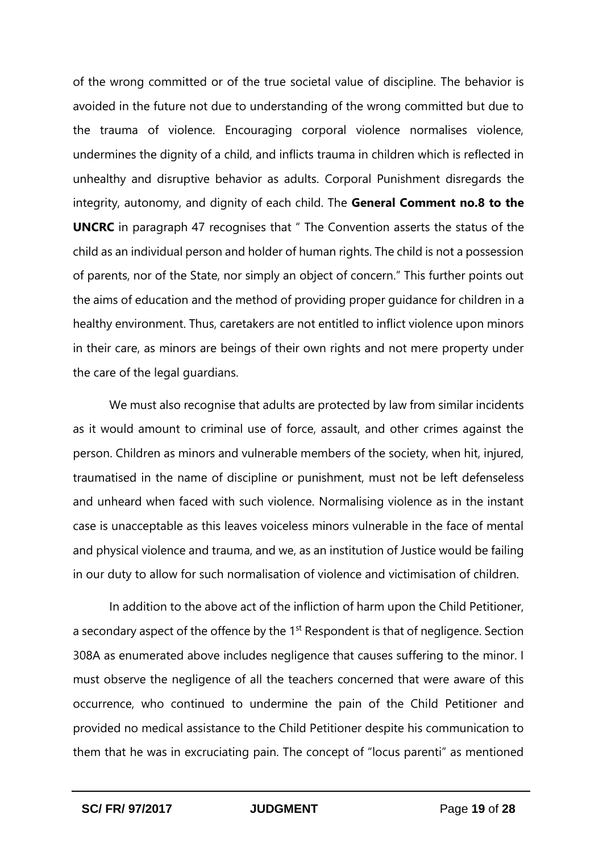of the wrong committed or of the true societal value of discipline. The behavior is avoided in the future not due to understanding of the wrong committed but due to the trauma of violence. Encouraging corporal violence normalises violence, undermines the dignity of a child, and inflicts trauma in children which is reflected in unhealthy and disruptive behavior as adults. Corporal Punishment disregards the integrity, autonomy, and dignity of each child. The **General Comment no.8 to the UNCRC** in paragraph 47 recognises that " The Convention asserts the status of the child as an individual person and holder of human rights. The child is not a possession of parents, nor of the State, nor simply an object of concern." This further points out the aims of education and the method of providing proper guidance for children in a healthy environment. Thus, caretakers are not entitled to inflict violence upon minors in their care, as minors are beings of their own rights and not mere property under the care of the legal guardians.

We must also recognise that adults are protected by law from similar incidents as it would amount to criminal use of force, assault, and other crimes against the person. Children as minors and vulnerable members of the society, when hit, injured, traumatised in the name of discipline or punishment, must not be left defenseless and unheard when faced with such violence. Normalising violence as in the instant case is unacceptable as this leaves voiceless minors vulnerable in the face of mental and physical violence and trauma, and we, as an institution of Justice would be failing in our duty to allow for such normalisation of violence and victimisation of children.

In addition to the above act of the infliction of harm upon the Child Petitioner, a secondary aspect of the offence by the 1<sup>st</sup> Respondent is that of negligence. Section 308A as enumerated above includes negligence that causes suffering to the minor. I must observe the negligence of all the teachers concerned that were aware of this occurrence, who continued to undermine the pain of the Child Petitioner and provided no medical assistance to the Child Petitioner despite his communication to them that he was in excruciating pain. The concept of "locus parenti" as mentioned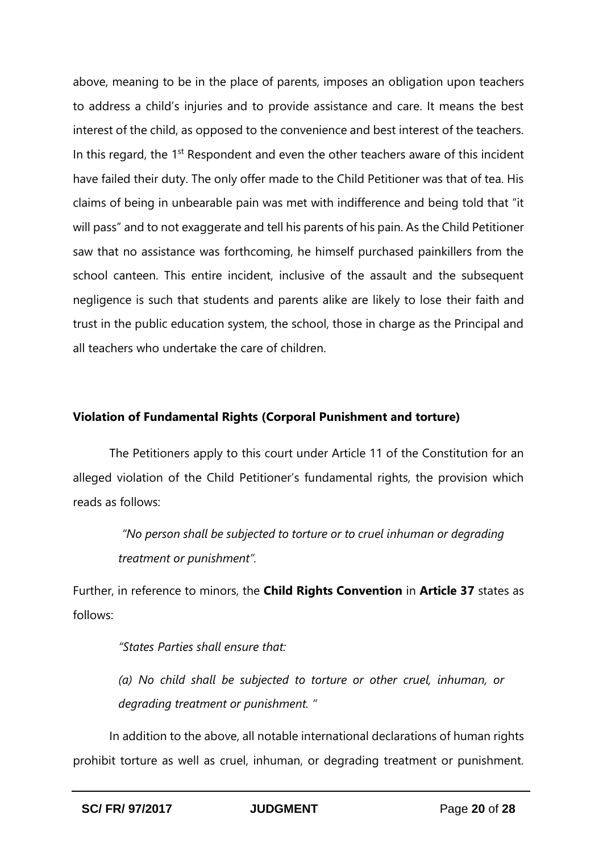above, meaning to be in the place of parents, imposes an obligation upon teachers to address a child's injuries and to provide assistance and care. It means the best interest of the child, as opposed to the convenience and best interest of the teachers. In this regard, the 1<sup>st</sup> Respondent and even the other teachers aware of this incident have failed their duty. The only offer made to the Child Petitioner was that of tea. His claims of being in unbearable pain was met with indifference and being told that "it will pass" and to not exaggerate and tell his parents of his pain. As the Child Petitioner saw that no assistance was forthcoming, he himself purchased painkillers from the school canteen. This entire incident, inclusive of the assault and the subsequent negligence is such that students and parents alike are likely to lose their faith and trust in the public education system, the school, those in charge as the Principal and all teachers who undertake the care of children.

## **Violation of Fundamental Rights (Corporal Punishment and torture)**

The Petitioners apply to this court under Article 11 of the Constitution for an alleged violation of the Child Petitioner's fundamental rights, the provision which reads as follows:

> *"No person shall be subjected to torture or to cruel inhuman or degrading treatment or punishment".*

Further, in reference to minors, the **Child Rights Convention** in **Article 37** states as follows:

*"States Parties shall ensure that:* 

*(a) No child shall be subjected to torture or other cruel, inhuman, or degrading treatment or punishment. "*

In addition to the above, all notable international declarations of human rights prohibit torture as well as cruel, inhuman, or degrading treatment or punishment.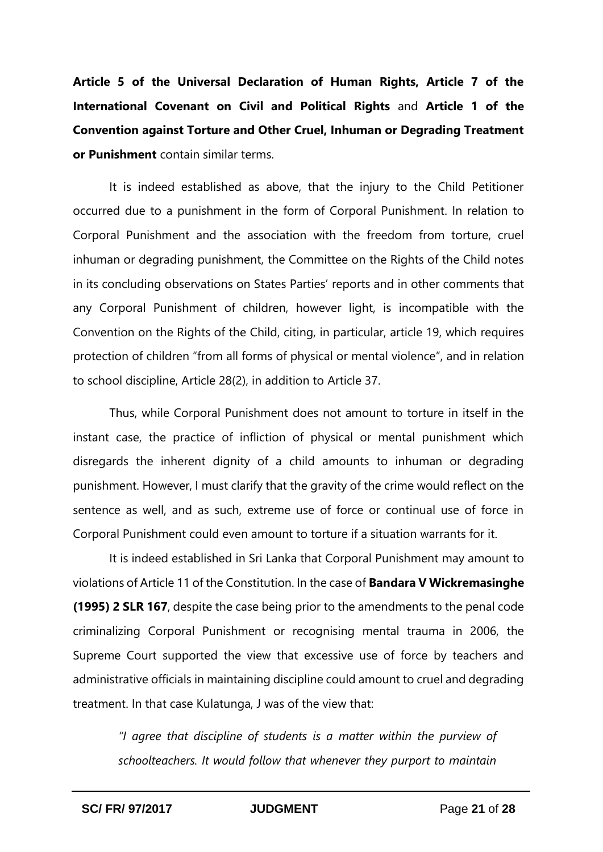**Article 5 of the Universal Declaration of Human Rights, Article 7 of the International Covenant on Civil and Political Rights** and **Article 1 of the Convention against Torture and Other Cruel, Inhuman or Degrading Treatment or Punishment** contain similar terms.

It is indeed established as above, that the injury to the Child Petitioner occurred due to a punishment in the form of Corporal Punishment. In relation to Corporal Punishment and the association with the freedom from torture, cruel inhuman or degrading punishment, the Committee on the Rights of the Child notes in its concluding observations on States Parties' reports and in other comments that any Corporal Punishment of children, however light, is incompatible with the Convention on the Rights of the Child, citing, in particular, article 19, which requires protection of children "from all forms of physical or mental violence", and in relation to school discipline, Article 28(2), in addition to Article 37.

Thus, while Corporal Punishment does not amount to torture in itself in the instant case, the practice of infliction of physical or mental punishment which disregards the inherent dignity of a child amounts to inhuman or degrading punishment. However, I must clarify that the gravity of the crime would reflect on the sentence as well, and as such, extreme use of force or continual use of force in Corporal Punishment could even amount to torture if a situation warrants for it.

It is indeed established in Sri Lanka that Corporal Punishment may amount to violations of Article 11 of the Constitution. In the case of **Bandara V Wickremasinghe (1995) 2 SLR 167**, despite the case being prior to the amendments to the penal code criminalizing Corporal Punishment or recognising mental trauma in 2006, the Supreme Court supported the view that excessive use of force by teachers and administrative officials in maintaining discipline could amount to cruel and degrading treatment. In that case Kulatunga, J was of the view that:

*"I agree that discipline of students is a matter within the purview of schoolteachers. It would follow that whenever they purport to maintain*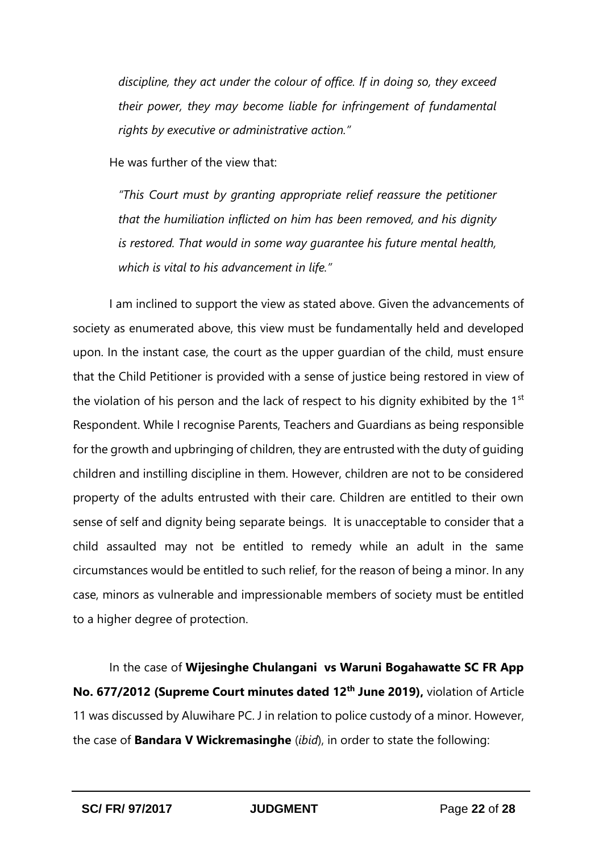*discipline, they act under the colour of office. If in doing so, they exceed their power, they may become liable for infringement of fundamental rights by executive or administrative action."*

He was further of the view that:

*"This Court must by granting appropriate relief reassure the petitioner that the humiliation inflicted on him has been removed, and his dignity is restored. That would in some way guarantee his future mental health, which is vital to his advancement in life."*

I am inclined to support the view as stated above. Given the advancements of society as enumerated above, this view must be fundamentally held and developed upon. In the instant case, the court as the upper guardian of the child, must ensure that the Child Petitioner is provided with a sense of justice being restored in view of the violation of his person and the lack of respect to his dignity exhibited by the 1<sup>st</sup> Respondent. While I recognise Parents, Teachers and Guardians as being responsible for the growth and upbringing of children, they are entrusted with the duty of guiding children and instilling discipline in them. However, children are not to be considered property of the adults entrusted with their care. Children are entitled to their own sense of self and dignity being separate beings. It is unacceptable to consider that a child assaulted may not be entitled to remedy while an adult in the same circumstances would be entitled to such relief, for the reason of being a minor. In any case, minors as vulnerable and impressionable members of society must be entitled to a higher degree of protection.

In the case of **Wijesinghe Chulangani vs Waruni Bogahawatte SC FR App No. 677/2012 (Supreme Court minutes dated 12th June 2019),** violation of Article 11 was discussed by Aluwihare PC. J in relation to police custody of a minor. However, the case of **Bandara V Wickremasinghe** (*ibid*), in order to state the following: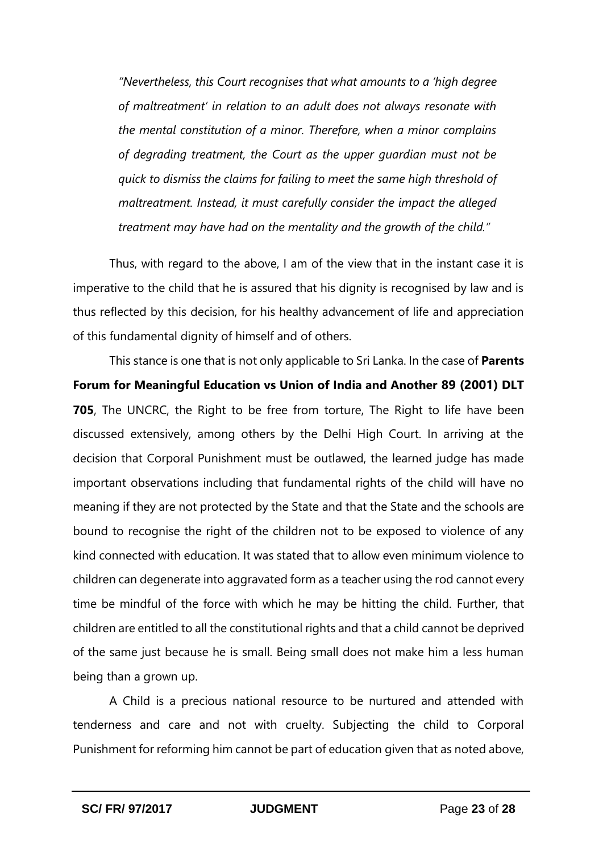*"Nevertheless, this Court recognises that what amounts to a 'high degree of maltreatment' in relation to an adult does not always resonate with the mental constitution of a minor. Therefore, when a minor complains of degrading treatment, the Court as the upper guardian must not be quick to dismiss the claims for failing to meet the same high threshold of maltreatment. Instead, it must carefully consider the impact the alleged treatment may have had on the mentality and the growth of the child."*

Thus, with regard to the above, I am of the view that in the instant case it is imperative to the child that he is assured that his dignity is recognised by law and is thus reflected by this decision, for his healthy advancement of life and appreciation of this fundamental dignity of himself and of others.

This stance is one that is not only applicable to Sri Lanka. In the case of **Parents Forum for Meaningful Education vs Union of India and Another 89 (2001) DLT 705**, The UNCRC, the Right to be free from torture, The Right to life have been discussed extensively, among others by the Delhi High Court. In arriving at the decision that Corporal Punishment must be outlawed, the learned judge has made important observations including that fundamental rights of the child will have no meaning if they are not protected by the State and that the State and the schools are bound to recognise the right of the children not to be exposed to violence of any kind connected with education. It was stated that to allow even minimum violence to children can degenerate into aggravated form as a teacher using the rod cannot every time be mindful of the force with which he may be hitting the child. Further, that children are entitled to all the constitutional rights and that a child cannot be deprived of the same just because he is small. Being small does not make him a less human being than a grown up.

A Child is a precious national resource to be nurtured and attended with tenderness and care and not with cruelty. Subjecting the child to Corporal Punishment for reforming him cannot be part of education given that as noted above,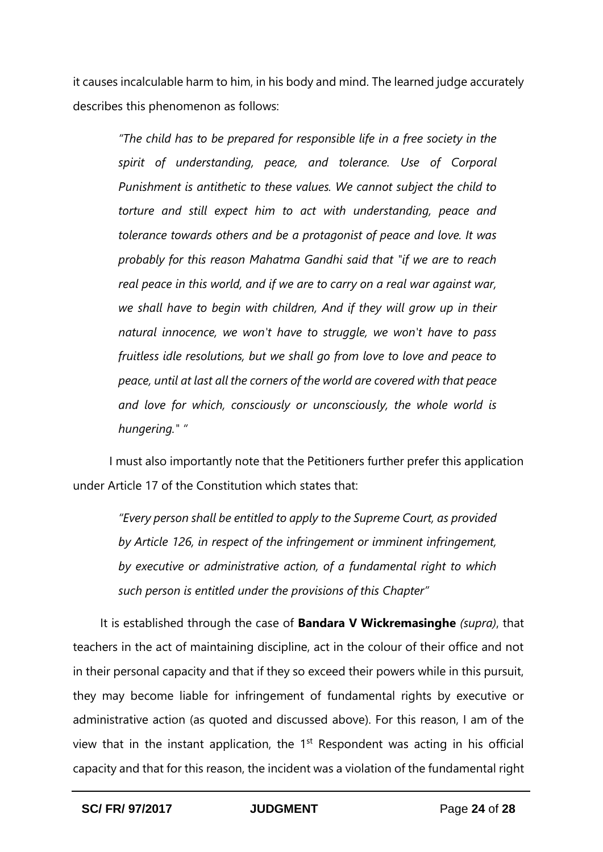it causes incalculable harm to him, in his body and mind. The learned judge accurately describes this phenomenon as follows:

*"The child has to be prepared for responsible life in a free society in the spirit of understanding, peace, and tolerance. Use of Corporal Punishment is antithetic to these values. We cannot subject the child to torture and still expect him to act with understanding, peace and tolerance towards others and be a protagonist of peace and love. It was probably for this reason Mahatma Gandhi said that "if we are to reach real peace in this world, and if we are to carry on a real war against war, we shall have to begin with children, And if they will grow up in their natural innocence, we won't have to struggle, we won't have to pass fruitless idle resolutions, but we shall go from love to love and peace to peace, until at last all the corners of the world are covered with that peace and love for which, consciously or unconsciously, the whole world is hungering." "*

I must also importantly note that the Petitioners further prefer this application under Article 17 of the Constitution which states that:

*"Every person shall be entitled to apply to the Supreme Court, as provided by Article 126, in respect of the infringement or imminent infringement, by executive or administrative action, of a fundamental right to which such person is entitled under the provisions of this Chapter"*

It is established through the case of **Bandara V Wickremasinghe** *(supra)*, that teachers in the act of maintaining discipline, act in the colour of their office and not in their personal capacity and that if they so exceed their powers while in this pursuit, they may become liable for infringement of fundamental rights by executive or administrative action (as quoted and discussed above). For this reason, I am of the view that in the instant application, the  $1<sup>st</sup>$  Respondent was acting in his official capacity and that for this reason, the incident was a violation of the fundamental right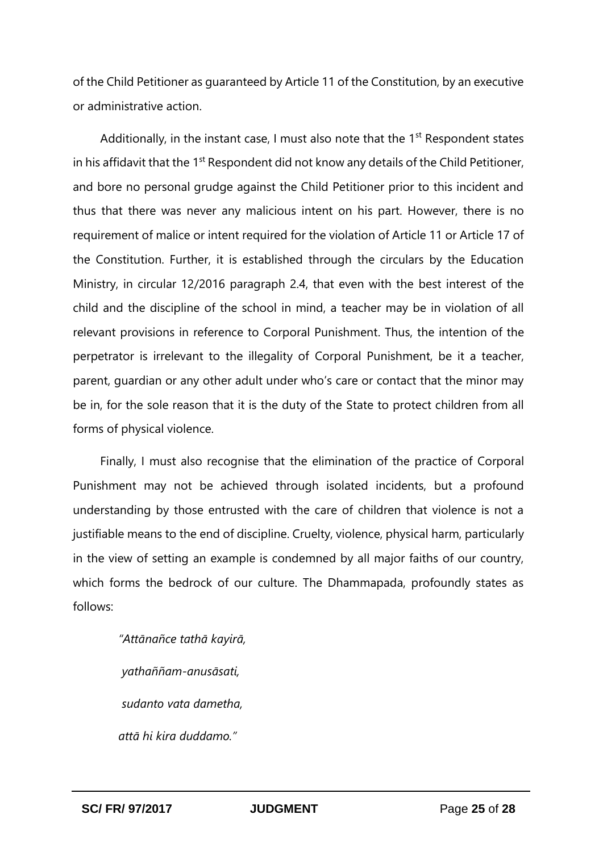of the Child Petitioner as guaranteed by Article 11 of the Constitution, by an executive or administrative action.

Additionally, in the instant case, I must also note that the  $1<sup>st</sup>$  Respondent states in his affidavit that the  $1<sup>st</sup>$  Respondent did not know any details of the Child Petitioner, and bore no personal grudge against the Child Petitioner prior to this incident and thus that there was never any malicious intent on his part. However, there is no requirement of malice or intent required for the violation of Article 11 or Article 17 of the Constitution. Further, it is established through the circulars by the Education Ministry, in circular 12/2016 paragraph 2.4, that even with the best interest of the child and the discipline of the school in mind, a teacher may be in violation of all relevant provisions in reference to Corporal Punishment. Thus, the intention of the perpetrator is irrelevant to the illegality of Corporal Punishment, be it a teacher, parent, guardian or any other adult under who's care or contact that the minor may be in, for the sole reason that it is the duty of the State to protect children from all forms of physical violence.

Finally, I must also recognise that the elimination of the practice of Corporal Punishment may not be achieved through isolated incidents, but a profound understanding by those entrusted with the care of children that violence is not a justifiable means to the end of discipline. Cruelty, violence, physical harm, particularly in the view of setting an example is condemned by all major faiths of our country, which forms the bedrock of our culture. The Dhammapada, profoundly states as follows:

> *"Attānañce tathā kayirā, yathaññam-anusāsati, sudanto vata dametha, attā hi kira duddamo."*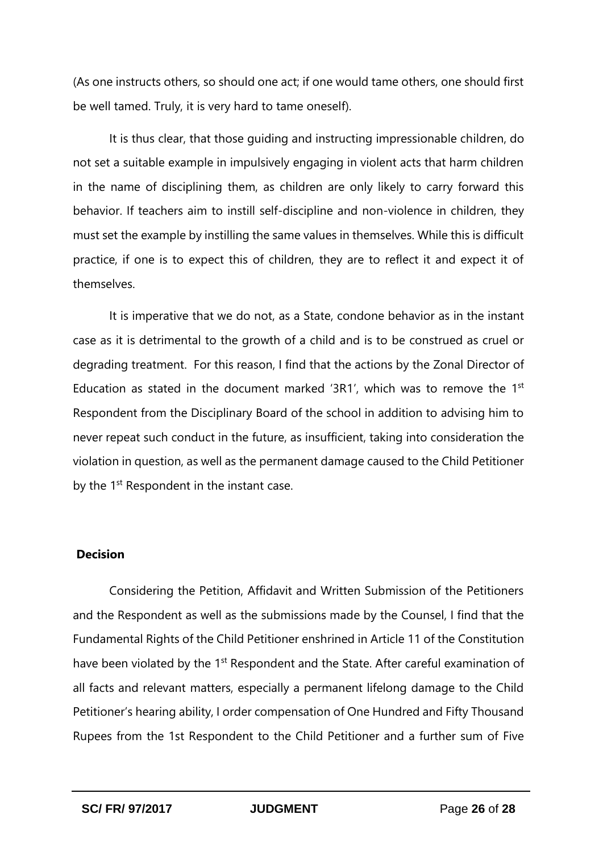(As one instructs others, so should one act; if one would tame others, one should first be well tamed. Truly, it is very hard to tame oneself).

It is thus clear, that those guiding and instructing impressionable children, do not set a suitable example in impulsively engaging in violent acts that harm children in the name of disciplining them, as children are only likely to carry forward this behavior. If teachers aim to instill self-discipline and non-violence in children, they must set the example by instilling the same values in themselves. While this is difficult practice, if one is to expect this of children, they are to reflect it and expect it of themselves.

It is imperative that we do not, as a State, condone behavior as in the instant case as it is detrimental to the growth of a child and is to be construed as cruel or degrading treatment. For this reason, I find that the actions by the Zonal Director of Education as stated in the document marked '3R1', which was to remove the 1st Respondent from the Disciplinary Board of the school in addition to advising him to never repeat such conduct in the future, as insufficient, taking into consideration the violation in question, as well as the permanent damage caused to the Child Petitioner by the 1<sup>st</sup> Respondent in the instant case.

#### **Decision**

Considering the Petition, Affidavit and Written Submission of the Petitioners and the Respondent as well as the submissions made by the Counsel, I find that the Fundamental Rights of the Child Petitioner enshrined in Article 11 of the Constitution have been violated by the 1<sup>st</sup> Respondent and the State. After careful examination of all facts and relevant matters, especially a permanent lifelong damage to the Child Petitioner's hearing ability, I order compensation of One Hundred and Fifty Thousand Rupees from the 1st Respondent to the Child Petitioner and a further sum of Five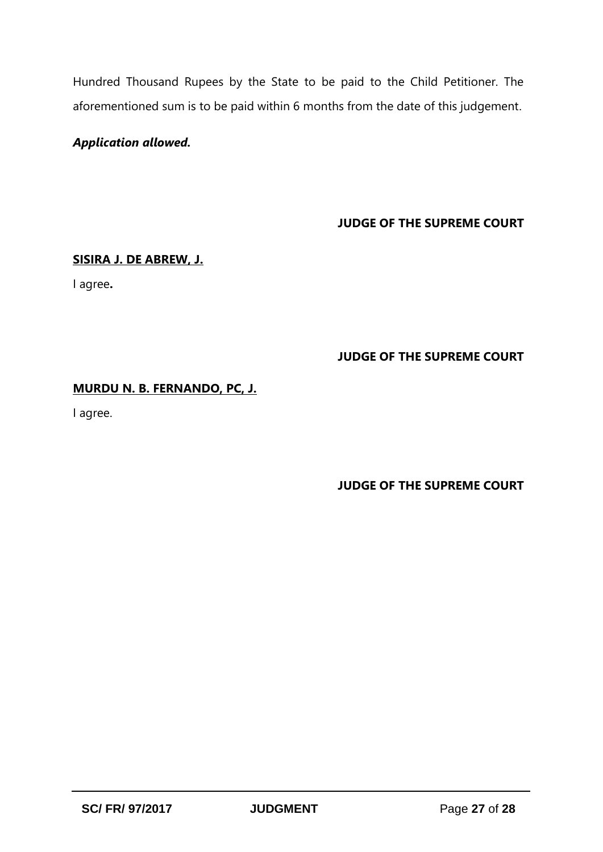Hundred Thousand Rupees by the State to be paid to the Child Petitioner. The aforementioned sum is to be paid within 6 months from the date of this judgement.

# *Application allowed.*

**JUDGE OF THE SUPREME COURT**

#### **SISIRA J. DE ABREW, J.**

I agree**.**

## **JUDGE OF THE SUPREME COURT**

## **MURDU N. B. FERNANDO, PC, J.**

I agree.

# **JUDGE OF THE SUPREME COURT**